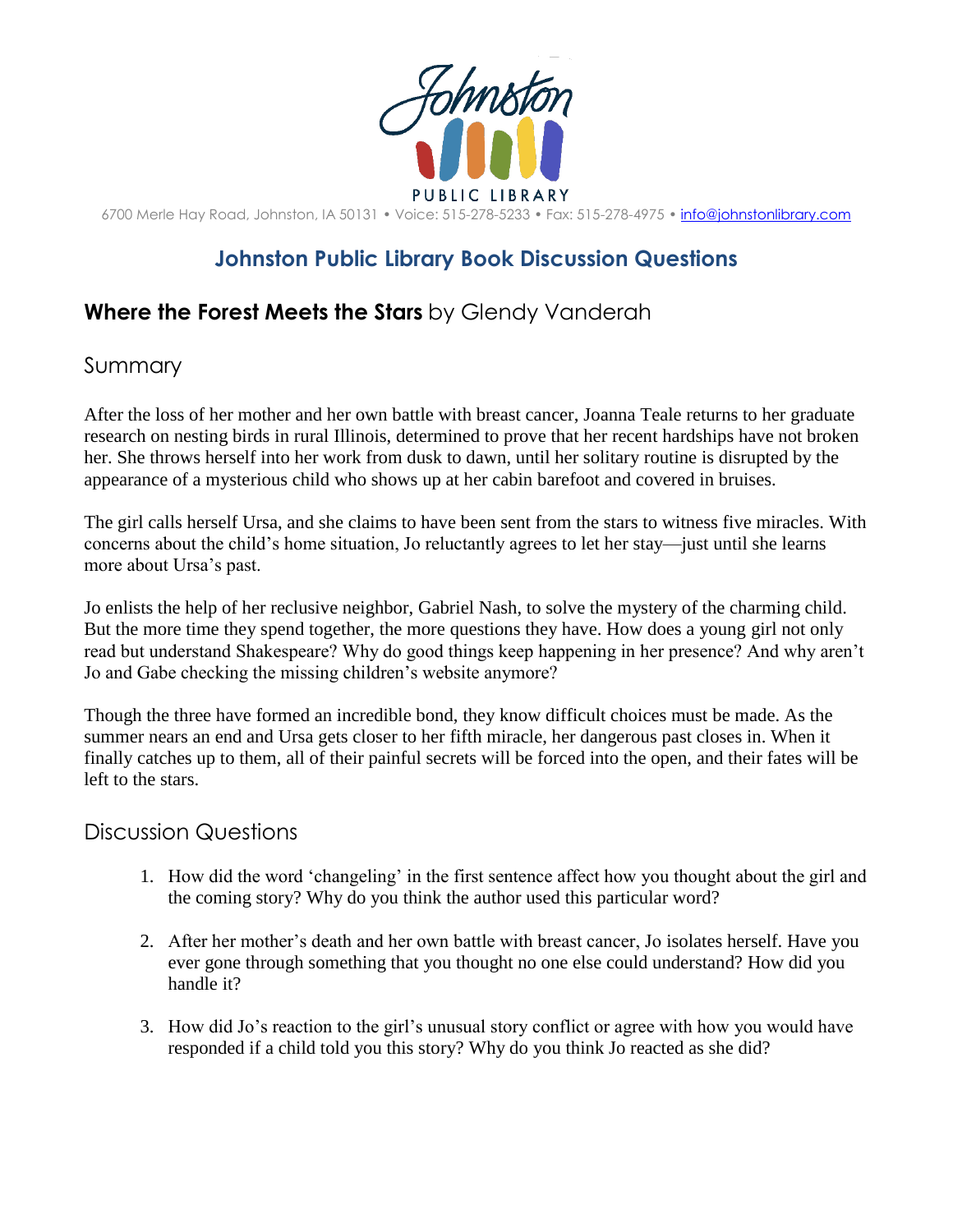

6700 Merle Hay Road, Johnston, IA 50131 • Voice: 515-278-5233 • Fax: 515-278-4975 • [info@johnstonlibrary.com](mailto:info@johnstonlibrary.com)

## **Johnston Public Library Book Discussion Questions**

## **Where the Forest Meets the Stars** by Glendy Vanderah

## Summary

After the loss of her mother and her own battle with breast cancer, Joanna Teale returns to her graduate research on nesting birds in rural Illinois, determined to prove that her recent hardships have not broken her. She throws herself into her work from dusk to dawn, until her solitary routine is disrupted by the appearance of a mysterious child who shows up at her cabin barefoot and covered in bruises.

The girl calls herself Ursa, and she claims to have been sent from the stars to witness five miracles. With concerns about the child's home situation, Jo reluctantly agrees to let her stay—just until she learns more about Ursa's past.

Jo enlists the help of her reclusive neighbor, Gabriel Nash, to solve the mystery of the charming child. But the more time they spend together, the more questions they have. How does a young girl not only read but understand Shakespeare? Why do good things keep happening in her presence? And why aren't Jo and Gabe checking the missing children's website anymore?

Though the three have formed an incredible bond, they know difficult choices must be made. As the summer nears an end and Ursa gets closer to her fifth miracle, her dangerous past closes in. When it finally catches up to them, all of their painful secrets will be forced into the open, and their fates will be left to the stars.

## Discussion Questions

- 1. How did the word 'changeling' in the first sentence affect how you thought about the girl and the coming story? Why do you think the author used this particular word?
- 2. After her mother's death and her own battle with breast cancer, Jo isolates herself. Have you ever gone through something that you thought no one else could understand? How did you handle it?
- 3. How did Jo's reaction to the girl's unusual story conflict or agree with how you would have responded if a child told you this story? Why do you think Jo reacted as she did?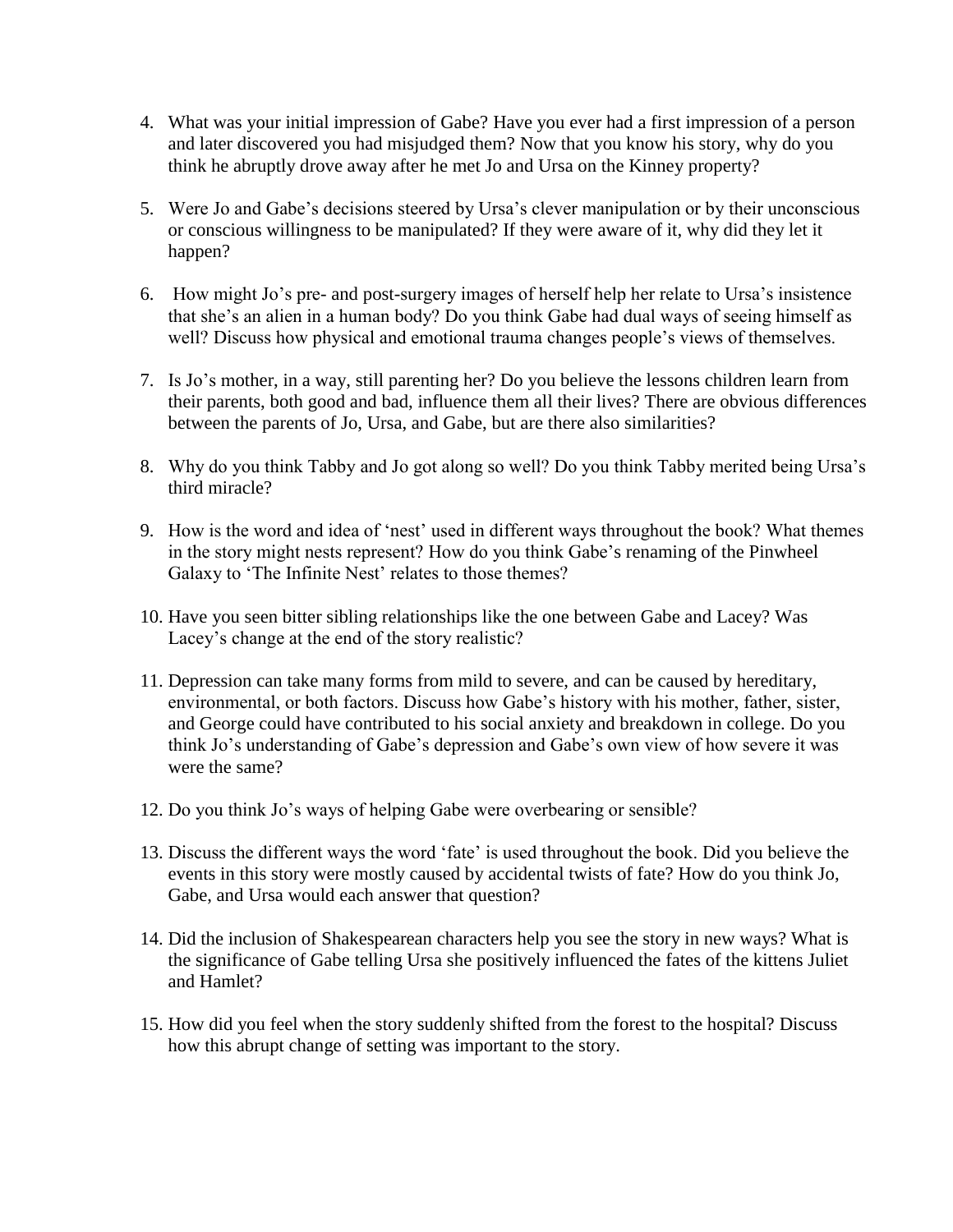- 4. What was your initial impression of Gabe? Have you ever had a first impression of a person and later discovered you had misjudged them? Now that you know his story, why do you think he abruptly drove away after he met Jo and Ursa on the Kinney property?
- 5. Were Jo and Gabe's decisions steered by Ursa's clever manipulation or by their unconscious or conscious willingness to be manipulated? If they were aware of it, why did they let it happen?
- 6. How might Jo's pre- and post-surgery images of herself help her relate to Ursa's insistence that she's an alien in a human body? Do you think Gabe had dual ways of seeing himself as well? Discuss how physical and emotional trauma changes people's views of themselves.
- 7. Is Jo's mother, in a way, still parenting her? Do you believe the lessons children learn from their parents, both good and bad, influence them all their lives? There are obvious differences between the parents of Jo, Ursa, and Gabe, but are there also similarities?
- 8. Why do you think Tabby and Jo got along so well? Do you think Tabby merited being Ursa's third miracle?
- 9. How is the word and idea of 'nest' used in different ways throughout the book? What themes in the story might nests represent? How do you think Gabe's renaming of the Pinwheel Galaxy to 'The Infinite Nest' relates to those themes?
- 10. Have you seen bitter sibling relationships like the one between Gabe and Lacey? Was Lacey's change at the end of the story realistic?
- 11. Depression can take many forms from mild to severe, and can be caused by hereditary, environmental, or both factors. Discuss how Gabe's history with his mother, father, sister, and George could have contributed to his social anxiety and breakdown in college. Do you think Jo's understanding of Gabe's depression and Gabe's own view of how severe it was were the same?
- 12. Do you think Jo's ways of helping Gabe were overbearing or sensible?
- 13. Discuss the different ways the word 'fate' is used throughout the book. Did you believe the events in this story were mostly caused by accidental twists of fate? How do you think Jo, Gabe, and Ursa would each answer that question?
- 14. Did the inclusion of Shakespearean characters help you see the story in new ways? What is the significance of Gabe telling Ursa she positively influenced the fates of the kittens Juliet and Hamlet?
- 15. How did you feel when the story suddenly shifted from the forest to the hospital? Discuss how this abrupt change of setting was important to the story.